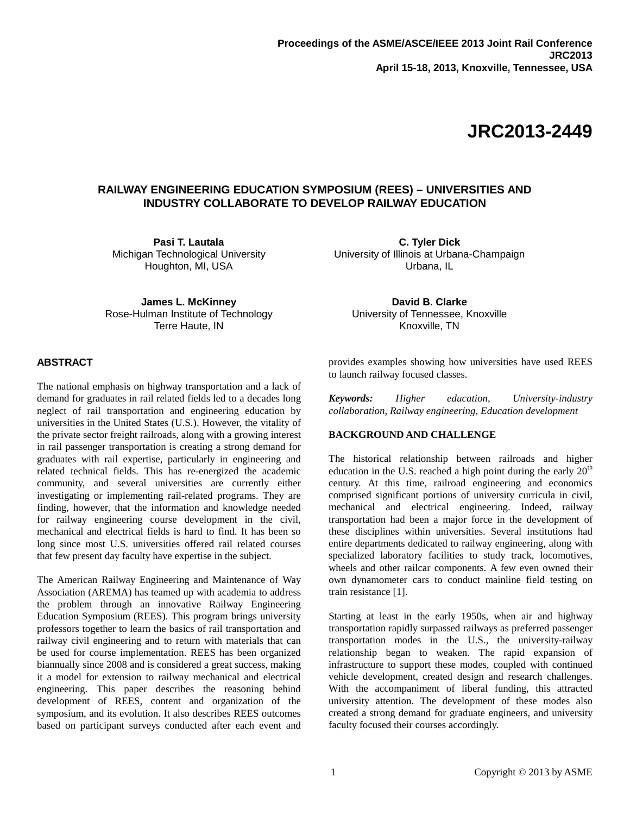# **JRC2013-2449**

# **RAILWAY ENGINEERING EDUCATION SYMPOSIUM (REES) – UNIVERSITIES AND INDUSTRY COLLABORATE TO DEVELOP RAILWAY EDUCATION**

**Pasi T. Lautala** Michigan Technological University Houghton, MI, USA

**James L. McKinney** Rose-Hulman Institute of Technology Terre Haute, IN

# **ABSTRACT**

The national emphasis on highway transportation and a lack of demand for graduates in rail related fields led to a decades long neglect of rail transportation and engineering education by universities in the United States (U.S.). However, the vitality of the private sector freight railroads, along with a growing interest in rail passenger transportation is creating a strong demand for graduates with rail expertise, particularly in engineering and related technical fields. This has re-energized the academic community, and several universities are currently either investigating or implementing rail-related programs. They are finding, however, that the information and knowledge needed for railway engineering course development in the civil, mechanical and electrical fields is hard to find. It has been so long since most U.S. universities offered rail related courses that few present day faculty have expertise in the subject.

The American Railway Engineering and Maintenance of Way Association (AREMA) has teamed up with academia to address the problem through an innovative Railway Engineering Education Symposium (REES). This program brings university professors together to learn the basics of rail transportation and railway civil engineering and to return with materials that can be used for course implementation. REES has been organized biannually since 2008 and is considered a great success, making it a model for extension to railway mechanical and electrical engineering. This paper describes the reasoning behind development of REES, content and organization of the symposium, and its evolution. It also describes REES outcomes based on participant surveys conducted after each event and

**C. Tyler Dick** University of Illinois at Urbana-Champaign Urbana, IL

**David B. Clarke** University of Tennessee, Knoxville Knoxville, TN

provides examples showing how universities have used REES to launch railway focused classes.

*Keywords: Higher education, University-industry collaboration, Railway engineering, Education development*

#### **BACKGROUND AND CHALLENGE**

The historical relationship between railroads and higher education in the U.S. reached a high point during the early  $20<sup>th</sup>$ century. At this time, railroad engineering and economics comprised significant portions of university curricula in civil, mechanical and electrical engineering. Indeed, railway transportation had been a major force in the development of these disciplines within universities. Several institutions had entire departments dedicated to railway engineering, along with specialized laboratory facilities to study track, locomotives, wheels and other railcar components. A few even owned their own dynamometer cars to conduct mainline field testing on train resistance [1].

Starting at least in the early 1950s, when air and highway transportation rapidly surpassed railways as preferred passenger transportation modes in the U.S., the university-railway relationship began to weaken. The rapid expansion of infrastructure to support these modes, coupled with continued vehicle development, created design and research challenges. With the accompaniment of liberal funding, this attracted university attention. The development of these modes also created a strong demand for graduate engineers, and university faculty focused their courses accordingly.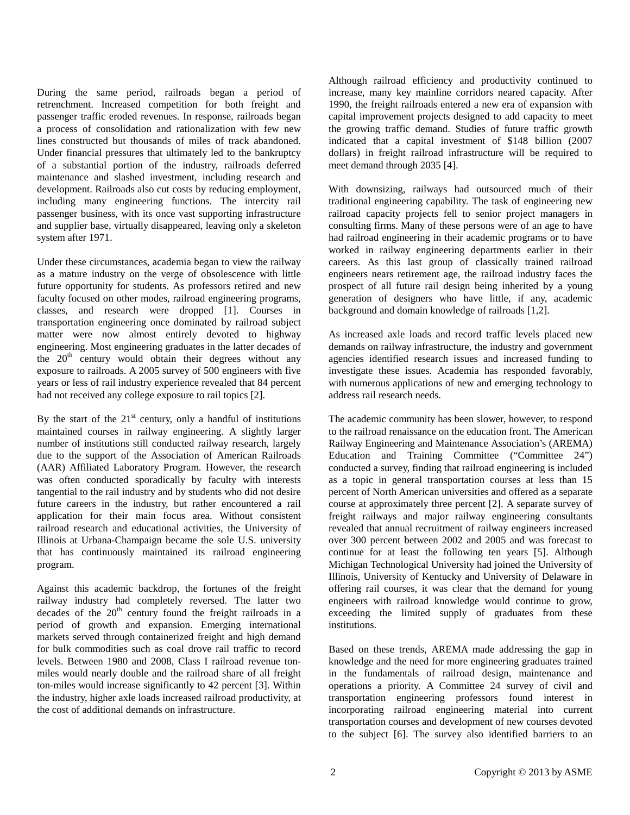During the same period, railroads began a period of retrenchment. Increased competition for both freight and passenger traffic eroded revenues. In response, railroads began a process of consolidation and rationalization with few new lines constructed but thousands of miles of track abandoned. Under financial pressures that ultimately led to the bankruptcy of a substantial portion of the industry, railroads deferred maintenance and slashed investment, including research and development. Railroads also cut costs by reducing employment, including many engineering functions. The intercity rail passenger business, with its once vast supporting infrastructure and supplier base, virtually disappeared, leaving only a skeleton system after 1971.

Under these circumstances, academia began to view the railway as a mature industry on the verge of obsolescence with little future opportunity for students. As professors retired and new faculty focused on other modes, railroad engineering programs, classes, and research were dropped [1]. Courses in transportation engineering once dominated by railroad subject matter were now almost entirely devoted to highway engineering. Most engineering graduates in the latter decades of the  $20<sup>th</sup>$  century would obtain their degrees without any exposure to railroads. A 2005 survey of 500 engineers with five years or less of rail industry experience revealed that 84 percent had not received any college exposure to rail topics [2].

By the start of the  $21<sup>st</sup>$  century, only a handful of institutions maintained courses in railway engineering. A slightly larger number of institutions still conducted railway research, largely due to the support of the Association of American Railroads (AAR) Affiliated Laboratory Program. However, the research was often conducted sporadically by faculty with interests tangential to the rail industry and by students who did not desire future careers in the industry, but rather encountered a rail application for their main focus area. Without consistent railroad research and educational activities, the University of Illinois at Urbana-Champaign became the sole U.S. university that has continuously maintained its railroad engineering program.

Against this academic backdrop, the fortunes of the freight railway industry had completely reversed. The latter two decades of the  $20<sup>th</sup>$  century found the freight railroads in a period of growth and expansion. Emerging international markets served through containerized freight and high demand for bulk commodities such as coal drove rail traffic to record levels. Between 1980 and 2008, Class I railroad revenue tonmiles would nearly double and the railroad share of all freight ton-miles would increase significantly to 42 percent [3]. Within the industry, higher axle loads increased railroad productivity, at the cost of additional demands on infrastructure.

Although railroad efficiency and productivity continued to increase, many key mainline corridors neared capacity. After 1990, the freight railroads entered a new era of expansion with capital improvement projects designed to add capacity to meet the growing traffic demand. Studies of future traffic growth indicated that a capital investment of \$148 billion (2007 dollars) in freight railroad infrastructure will be required to meet demand through 2035 [4].

With downsizing, railways had outsourced much of their traditional engineering capability. The task of engineering new railroad capacity projects fell to senior project managers in consulting firms. Many of these persons were of an age to have had railroad engineering in their academic programs or to have worked in railway engineering departments earlier in their careers. As this last group of classically trained railroad engineers nears retirement age, the railroad industry faces the prospect of all future rail design being inherited by a young generation of designers who have little, if any, academic background and domain knowledge of railroads [1,2].

As increased axle loads and record traffic levels placed new demands on railway infrastructure, the industry and government agencies identified research issues and increased funding to investigate these issues. Academia has responded favorably, with numerous applications of new and emerging technology to address rail research needs.

The academic community has been slower, however, to respond to the railroad renaissance on the education front. The American Railway Engineering and Maintenance Association's (AREMA) Education and Training Committee ("Committee 24") conducted a survey, finding that railroad engineering is included as a topic in general transportation courses at less than 15 percent of North American universities and offered as a separate course at approximately three percent [2]. A separate survey of freight railways and major railway engineering consultants revealed that annual recruitment of railway engineers increased over 300 percent between 2002 and 2005 and was forecast to continue for at least the following ten years [5]. Although Michigan Technological University had joined the University of Illinois, University of Kentucky and University of Delaware in offering rail courses, it was clear that the demand for young engineers with railroad knowledge would continue to grow, exceeding the limited supply of graduates from these institutions.

Based on these trends, AREMA made addressing the gap in knowledge and the need for more engineering graduates trained in the fundamentals of railroad design, maintenance and operations a priority. A Committee 24 survey of civil and transportation engineering professors found interest in incorporating railroad engineering material into current transportation courses and development of new courses devoted to the subject [6]. The survey also identified barriers to an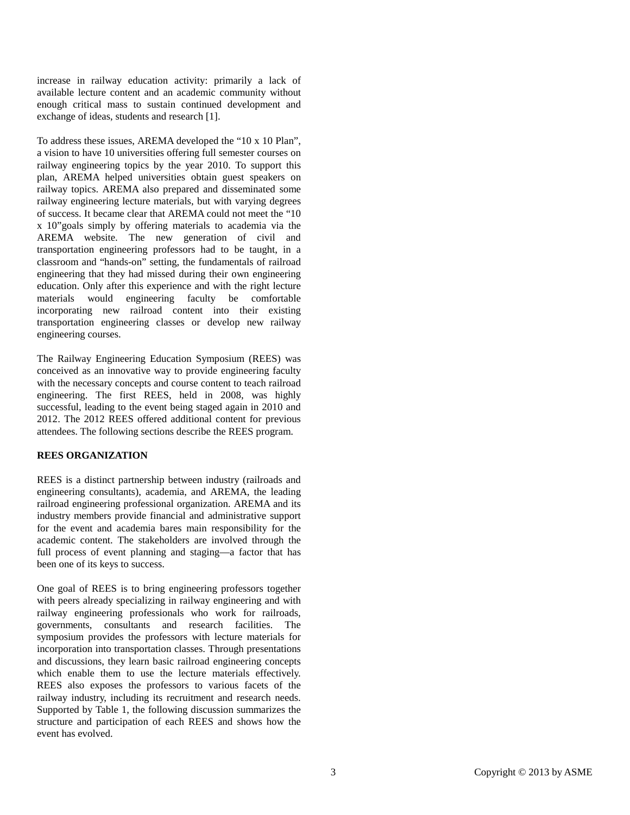increase in railway education activity: primarily a lack of available lecture content and an academic community without enough critical mass to sustain continued development and exchange of ideas, students and research [1].

To address these issues, AREMA developed the "10 x 10 Plan", a vision to have 10 universities offering full semester courses on railway engineering topics by the year 2010. To support this plan, AREMA helped universities obtain guest speakers on railway topics. AREMA also prepared and disseminated some railway engineering lecture materials, but with varying degrees of success. It became clear that AREMA could not meet the "10 x 10"goals simply by offering materials to academia via the AREMA website. The new generation of civil and transportation engineering professors had to be taught, in a classroom and "hands-on" setting, the fundamentals of railroad engineering that they had missed during their own engineering education. Only after this experience and with the right lecture materials would engineering faculty be comfortable incorporating new railroad content into their existing transportation engineering classes or develop new railway engineering courses.

The Railway Engineering Education Symposium (REES) was conceived as an innovative way to provide engineering faculty with the necessary concepts and course content to teach railroad engineering. The first REES, held in 2008, was highly successful, leading to the event being staged again in 2010 and 2012. The 2012 REES offered additional content for previous attendees. The following sections describe the REES program.

# **REES ORGANIZATION**

REES is a distinct partnership between industry (railroads and engineering consultants), academia, and AREMA, the leading railroad engineering professional organization. AREMA and its industry members provide financial and administrative support for the event and academia bares main responsibility for the academic content. The stakeholders are involved through the full process of event planning and staging—a factor that has been one of its keys to success.

One goal of REES is to bring engineering professors together with peers already specializing in railway engineering and with railway engineering professionals who work for railroads, governments, consultants and research facilities. The symposium provides the professors with lecture materials for incorporation into transportation classes. Through presentations and discussions, they learn basic railroad engineering concepts which enable them to use the lecture materials effectively. REES also exposes the professors to various facets of the railway industry, including its recruitment and research needs. Supported by Table 1, the following discussion summarizes the structure and participation of each REES and shows how the event has evolved.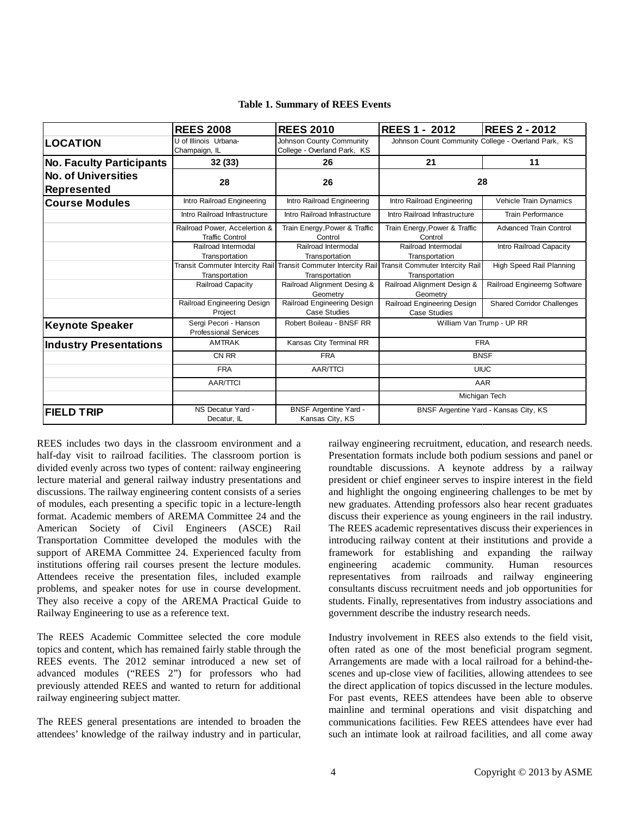|                                                  | <b>REES 2008</b>                                        | <b>REES 2010</b>                                         | <b>IREES 1 - 2012</b>                                            | <b>REES 2 - 2012</b>              |
|--------------------------------------------------|---------------------------------------------------------|----------------------------------------------------------|------------------------------------------------------------------|-----------------------------------|
| <b>LOCATION</b>                                  | U of Illinois Urbana-<br>Champaign, IL                  | Johnson County Community<br>College - Overland Park, KS  | Johnson Count Community College - Overland Park, KS              |                                   |
| <b>No. Faculty Participants</b>                  | 32(33)                                                  | 26                                                       | 21                                                               | 11                                |
| <b>No. of Universities</b><br><b>Represented</b> | 28                                                      | 26                                                       | 28                                                               |                                   |
| <b>Course Modules</b>                            | Intro Railroad Engineering                              | Intro Railroad Engineering                               | Intro Railroad Engineering                                       | Vehicle Train Dynamics            |
|                                                  | Intro Railroad Infrastructure                           | Intro Railroad Infrastructure                            | Intro Railroad Infrastructure                                    | Train Performance                 |
|                                                  | Railroad Power, Accelertion &<br><b>Traffic Control</b> | Train Energy, Power & Traffic<br>Control                 | Train Energy, Power & Traffic<br>Control                         | <b>Advanced Train Control</b>     |
|                                                  | Railroad Intermodal<br>Transportation                   | Railroad Intermodal<br>Transportation                    | Railroad Intermodal<br>Transportation                            | Intro Railroad Capacity           |
|                                                  | Transit Commuter Intercity Rail<br>Transportation       | <b>Transit Commuter Intercity Rail</b><br>Transportation | <b>Transit Commuter Intercity Rail</b><br>Transportation         | High Speed Rail Planning          |
|                                                  | Railroad Capacity                                       | Railroad Alignment Desing &<br>Geometry                  | Railroad Alignment Design &<br>Geometry                          | Railroad Engineerng Software      |
|                                                  | Railroad Engineering Design<br>Project                  | Railroad Engineering Design<br>Case Studies              | Railroad Engineering Design<br><b>Case Studies</b>               | <b>Shared Corridor Challenges</b> |
| <b>Keynote Speaker</b>                           | Sergi Pecori - Hanson<br><b>Professional Services</b>   | Robert Boileau - BNSF RR                                 | William Van Trump - UP RR                                        |                                   |
| <b>Industry Presentations</b>                    | <b>AMTRAK</b>                                           | Kansas City Terminal RR                                  | <b>FRA</b><br><b>BNSF</b><br><b>UIUC</b><br>AAR<br>Michigan Tech |                                   |
|                                                  | CN RR                                                   | <b>FRA</b>                                               |                                                                  |                                   |
|                                                  | <b>FRA</b>                                              | <b>AAR/TTCI</b>                                          |                                                                  |                                   |
|                                                  | <b>AAR/TTCI</b>                                         |                                                          |                                                                  |                                   |
|                                                  |                                                         |                                                          |                                                                  |                                   |
| <b>FIELD TRIP</b>                                | NS Decatur Yard -<br>Decatur, IL                        | <b>BNSF Argentine Yard -</b><br>Kansas City, KS          | BNSF Argentine Yard - Kansas City, KS                            |                                   |

**Table 1. Summary of REES Events**

REES includes two days in the classroom environment and a half-day visit to railroad facilities. The classroom portion is divided evenly across two types of content: railway engineering lecture material and general railway industry presentations and discussions. The railway engineering content consists of a series of modules, each presenting a specific topic in a lecture-length format. Academic members of AREMA Committee 24 and the American Society of Civil Engineers (ASCE) Rail Transportation Committee developed the modules with the support of AREMA Committee 24. Experienced faculty from institutions offering rail courses present the lecture modules. Attendees receive the presentation files, included example problems, and speaker notes for use in course development. They also receive a copy of the AREMA Practical Guide to Railway Engineering to use as a reference text.

The REES Academic Committee selected the core module topics and content, which has remained fairly stable through the REES events. The 2012 seminar introduced a new set of advanced modules ("REES 2") for professors who had previously attended REES and wanted to return for additional railway engineering subject matter.

The REES general presentations are intended to broaden the attendees' knowledge of the railway industry and in particular, railway engineering recruitment, education, and research needs. Presentation formats include both podium sessions and panel or roundtable discussions. A keynote address by a railway president or chief engineer serves to inspire interest in the field and highlight the ongoing engineering challenges to be met by new graduates. Attending professors also hear recent graduates discuss their experience as young engineers in the rail industry. The REES academic representatives discuss their experiences in introducing railway content at their institutions and provide a framework for establishing and expanding the railway engineering academic community. Human resources representatives from railroads and railway engineering consultants discuss recruitment needs and job opportunities for students. Finally, representatives from industry associations and government describe the industry research needs.

Industry involvement in REES also extends to the field visit, often rated as one of the most beneficial program segment. Arrangements are made with a local railroad for a behind-thescenes and up-close view of facilities, allowing attendees to see the direct application of topics discussed in the lecture modules. For past events, REES attendees have been able to observe mainline and terminal operations and visit dispatching and communications facilities. Few REES attendees have ever had such an intimate look at railroad facilities, and all come away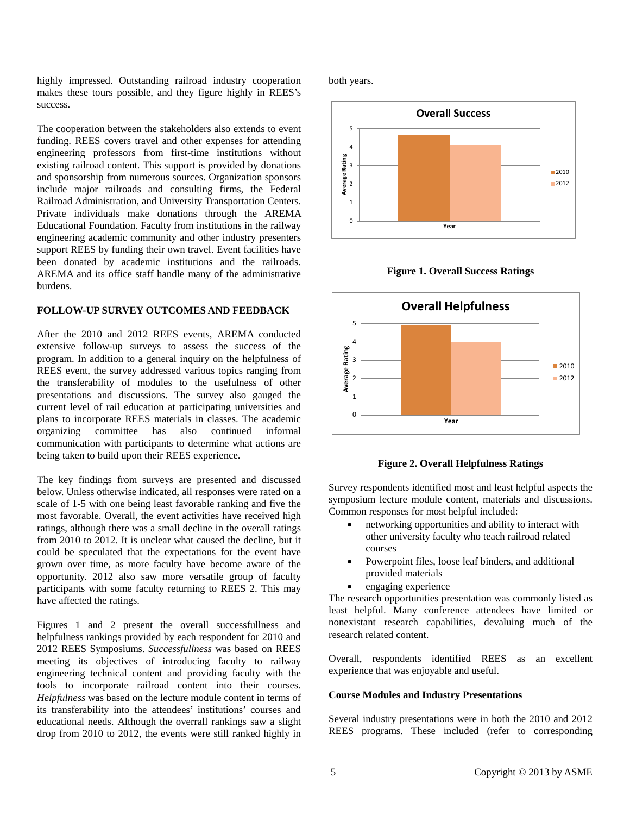highly impressed. Outstanding railroad industry cooperation makes these tours possible, and they figure highly in REES's success.

The cooperation between the stakeholders also extends to event funding. REES covers travel and other expenses for attending engineering professors from first-time institutions without existing railroad content. This support is provided by donations and sponsorship from numerous sources. Organization sponsors include major railroads and consulting firms, the Federal Railroad Administration, and University Transportation Centers. Private individuals make donations through the AREMA Educational Foundation. Faculty from institutions in the railway engineering academic community and other industry presenters support REES by funding their own travel. Event facilities have been donated by academic institutions and the railroads. AREMA and its office staff handle many of the administrative burdens.

#### **FOLLOW-UP SURVEY OUTCOMES AND FEEDBACK**

After the 2010 and 2012 REES events, AREMA conducted extensive follow-up surveys to assess the success of the program. In addition to a general inquiry on the helpfulness of REES event, the survey addressed various topics ranging from the transferability of modules to the usefulness of other presentations and discussions. The survey also gauged the current level of rail education at participating universities and plans to incorporate REES materials in classes. The academic organizing committee has also continued informal communication with participants to determine what actions are being taken to build upon their REES experience.

The key findings from surveys are presented and discussed below. Unless otherwise indicated, all responses were rated on a scale of 1-5 with one being least favorable ranking and five the most favorable. Overall, the event activities have received high ratings, although there was a small decline in the overall ratings from 2010 to 2012. It is unclear what caused the decline, but it could be speculated that the expectations for the event have grown over time, as more faculty have become aware of the opportunity. 2012 also saw more versatile group of faculty participants with some faculty returning to REES 2. This may have affected the ratings.

Figures 1 and 2 present the overall successfullness and helpfulness rankings provided by each respondent for 2010 and 2012 REES Symposiums. *Successfullness* was based on REES meeting its objectives of introducing faculty to railway engineering technical content and providing faculty with the tools to incorporate railroad content into their courses. *Helpfulness* was based on the lecture module content in terms of its transferability into the attendees' institutions' courses and educational needs. Although the overrall rankings saw a slight drop from 2010 to 2012, the events were still ranked highly in both years.







**Figure 2. Overall Helpfulness Ratings**

Survey respondents identified most and least helpful aspects the symposium lecture module content, materials and discussions. Common responses for most helpful included:

- networking opportunities and ability to interact with other university faculty who teach railroad related courses
- Powerpoint files, loose leaf binders, and additional provided materials
- engaging experience

The research opportunities presentation was commonly listed as least helpful. Many conference attendees have limited or nonexistant research capabilities, devaluing much of the research related content.

Overall, respondents identified REES as an excellent experience that was enjoyable and useful.

# **Course Modules and Industry Presentations**

Several industry presentations were in both the 2010 and 2012 REES programs. These included (refer to corresponding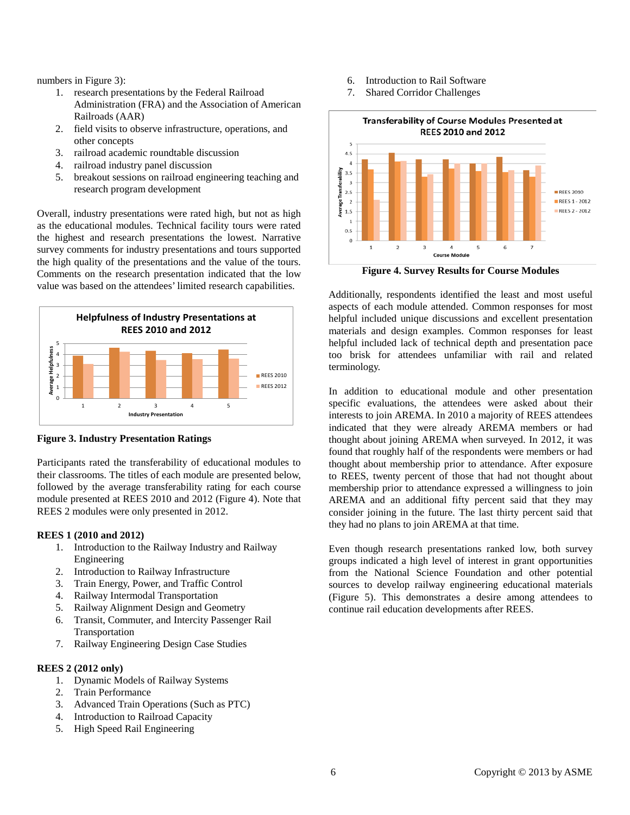numbers in Figure 3):

- 1. research presentations by the Federal Railroad Administration (FRA) and the Association of American Railroads (AAR)
- 2. field visits to observe infrastructure, operations, and other concepts
- 3. railroad academic roundtable discussion
- 4. railroad industry panel discussion
- 5. breakout sessions on railroad engineering teaching and research program development

Overall, industry presentations were rated high, but not as high as the educational modules. Technical facility tours were rated the highest and research presentations the lowest. Narrative survey comments for industry presentations and tours supported the high quality of the presentations and the value of the tours. Comments on the research presentation indicated that the low value was based on the attendees' limited research capabilities.



**Figure 3. Industry Presentation Ratings**

Participants rated the transferability of educational modules to their classrooms. The titles of each module are presented below, followed by the average transferability rating for each course module presented at REES 2010 and 2012 (Figure 4). Note that REES 2 modules were only presented in 2012.

# **REES 1 (2010 and 2012)**

- 1. Introduction to the Railway Industry and Railway Engineering
- 2. Introduction to Railway Infrastructure
- 3. Train Energy, Power, and Traffic Control
- 4. Railway Intermodal Transportation
- 5. Railway Alignment Design and Geometry
- 6. Transit, Commuter, and Intercity Passenger Rail Transportation
- 7. Railway Engineering Design Case Studies

# **REES 2 (2012 only)**

- 1. Dynamic Models of Railway Systems
- 2. Train Performance
- 3. Advanced Train Operations (Such as PTC)
- 4. Introduction to Railroad Capacity
- 5. High Speed Rail Engineering
- 6. Introduction to Rail Software
- 7. Shared Corridor Challenges



**Figure 4. Survey Results for Course Modules**

Additionally, respondents identified the least and most useful aspects of each module attended. Common responses for most helpful included unique discussions and excellent presentation materials and design examples. Common responses for least helpful included lack of technical depth and presentation pace too brisk for attendees unfamiliar with rail and related terminology.

In addition to educational module and other presentation specific evaluations, the attendees were asked about their interests to join AREMA. In 2010 a majority of REES attendees indicated that they were already AREMA members or had thought about joining AREMA when surveyed. In 2012, it was found that roughly half of the respondents were members or had thought about membership prior to attendance. After exposure to REES, twenty percent of those that had not thought about membership prior to attendance expressed a willingness to join AREMA and an additional fifty percent said that they may consider joining in the future. The last thirty percent said that they had no plans to join AREMA at that time.

Even though research presentations ranked low, both survey groups indicated a high level of interest in grant opportunities from the National Science Foundation and other potential sources to develop railway engineering educational materials (Figure 5). This demonstrates a desire among attendees to continue rail education developments after REES.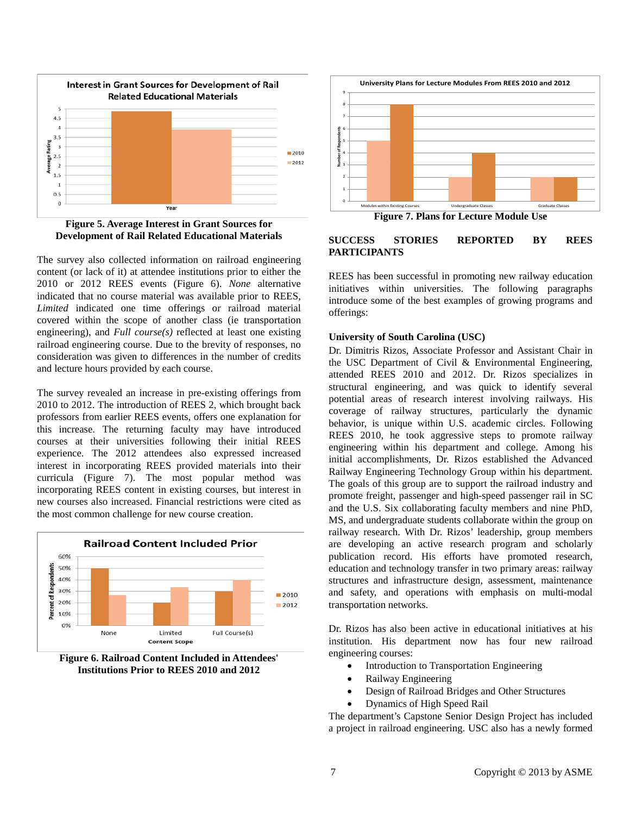



The survey also collected information on railroad engineering content (or lack of it) at attendee institutions prior to either the 2010 or 2012 REES events (Figure 6). *None* alternative indicated that no course material was available prior to REES, *Limited* indicated one time offerings or railroad material covered within the scope of another class (ie transportation engineering), and *Full course(s)* reflected at least one existing railroad engineering course. Due to the brevity of responses, no consideration was given to differences in the number of credits and lecture hours provided by each course.

The survey revealed an increase in pre-existing offerings from 2010 to 2012. The introduction of REES 2, which brought back professors from earlier REES events, offers one explanation for this increase. The returning faculty may have introduced courses at their universities following their initial REES experience. The 2012 attendees also expressed increased interest in incorporating REES provided materials into their curricula (Figure 7). The most popular method was incorporating REES content in existing courses, but interest in new courses also increased. Financial restrictions were cited as the most common challenge for new course creation.



**Figure 6. Railroad Content Included in Attendees' Institutions Prior to REES 2010 and 2012**



#### **SUCCESS STORIES REPORTED BY REES PARTICIPANTS**

REES has been successful in promoting new railway education initiatives within universities. The following paragraphs introduce some of the best examples of growing programs and offerings:

#### **University of South Carolina (USC)**

Dr. Dimitris Rizos, Associate Professor and Assistant Chair in the USC Department of Civil & Environmental Engineering, attended REES 2010 and 2012. Dr. Rizos specializes in structural engineering, and was quick to identify several potential areas of research interest involving railways. His coverage of railway structures, particularly the dynamic behavior, is unique within U.S. academic circles. Following REES 2010, he took aggressive steps to promote railway engineering within his department and college. Among his initial accomplishments, Dr. Rizos established the Advanced Railway Engineering Technology Group within his department. The goals of this group are to support the railroad industry and promote freight, passenger and high-speed passenger rail in SC and the U.S. Six collaborating faculty members and nine PhD, MS, and undergraduate students collaborate within the group on railway research. With Dr. Rizos' leadership, group members are developing an active research program and scholarly publication record. His efforts have promoted research, education and technology transfer in two primary areas: railway structures and infrastructure design, assessment, maintenance and safety, and operations with emphasis on multi-modal transportation networks.

Dr. Rizos has also been active in educational initiatives at his institution. His department now has four new railroad engineering courses:

- Introduction to Transportation Engineering
- Railway Engineering
- Design of Railroad Bridges and Other Structures
- Dynamics of High Speed Rail

The department's Capstone Senior Design Project has included a project in railroad engineering. USC also has a newly formed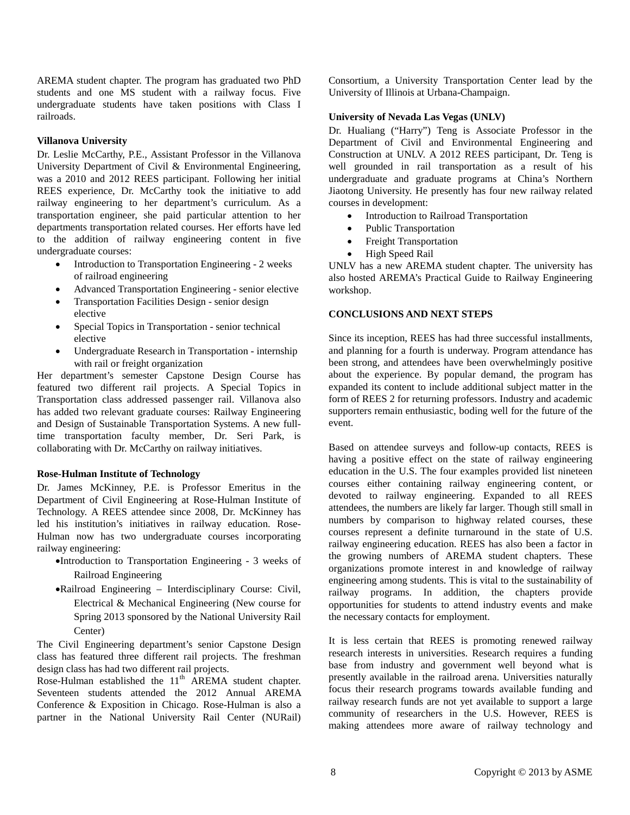AREMA student chapter. The program has graduated two PhD students and one MS student with a railway focus. Five undergraduate students have taken positions with Class I railroads.

#### **Villanova University**

Dr. Leslie McCarthy, P.E., Assistant Professor in the Villanova University Department of Civil & Environmental Engineering, was a 2010 and 2012 REES participant. Following her initial REES experience, Dr. McCarthy took the initiative to add railway engineering to her department's curriculum. As a transportation engineer, she paid particular attention to her departments transportation related courses. Her efforts have led to the addition of railway engineering content in five undergraduate courses:

- Introduction to Transportation Engineering 2 weeks of railroad engineering
- Advanced Transportation Engineering senior elective
- Transportation Facilities Design senior design elective
- Special Topics in Transportation senior technical elective
- Undergraduate Research in Transportation internship with rail or freight organization

Her department's semester Capstone Design Course has featured two different rail projects. A Special Topics in Transportation class addressed passenger rail. Villanova also has added two relevant graduate courses: Railway Engineering and Design of Sustainable Transportation Systems. A new fulltime transportation faculty member, Dr. Seri Park, is collaborating with Dr. McCarthy on railway initiatives.

#### **Rose-Hulman Institute of Technology**

Dr. James McKinney, P.E. is Professor Emeritus in the Department of Civil Engineering at Rose-Hulman Institute of Technology. A REES attendee since 2008, Dr. McKinney has led his institution's initiatives in railway education. Rose-Hulman now has two undergraduate courses incorporating railway engineering:

- •Introduction to Transportation Engineering 3 weeks of Railroad Engineering
- •Railroad Engineering Interdisciplinary Course: Civil, Electrical & Mechanical Engineering (New course for Spring 2013 sponsored by the National University Rail Center)

The Civil Engineering department's senior Capstone Design class has featured three different rail projects. The freshman design class has had two different rail projects.

Rose-Hulman established the  $11<sup>th</sup>$  AREMA student chapter. Seventeen students attended the 2012 Annual AREMA Conference & Exposition in Chicago. Rose-Hulman is also a partner in the National University Rail Center (NURail) Consortium, a University Transportation Center lead by the University of Illinois at Urbana-Champaign.

# **University of Nevada Las Vegas (UNLV)**

Dr. Hualiang ("Harry") Teng is Associate Professor in the Department of Civil and Environmental Engineering and Construction at UNLV. A 2012 REES participant, Dr. Teng is well grounded in rail transportation as a result of his undergraduate and graduate programs at China's Northern Jiaotong University. He presently has four new railway related courses in development:

- Introduction to Railroad Transportation
- Public Transportation
- Freight Transportation
- High Speed Rail

UNLV has a new AREMA student chapter. The university has also hosted AREMA's Practical Guide to Railway Engineering workshop.

#### **CONCLUSIONS AND NEXT STEPS**

Since its inception, REES has had three successful installments, and planning for a fourth is underway. Program attendance has been strong, and attendees have been overwhelmingly positive about the experience. By popular demand, the program has expanded its content to include additional subject matter in the form of REES 2 for returning professors. Industry and academic supporters remain enthusiastic, boding well for the future of the event.

Based on attendee surveys and follow-up contacts, REES is having a positive effect on the state of railway engineering education in the U.S. The four examples provided list nineteen courses either containing railway engineering content, or devoted to railway engineering. Expanded to all REES attendees, the numbers are likely far larger. Though still small in numbers by comparison to highway related courses, these courses represent a definite turnaround in the state of U.S. railway engineering education. REES has also been a factor in the growing numbers of AREMA student chapters. These organizations promote interest in and knowledge of railway engineering among students. This is vital to the sustainability of railway programs. In addition, the chapters provide opportunities for students to attend industry events and make the necessary contacts for employment.

It is less certain that REES is promoting renewed railway research interests in universities. Research requires a funding base from industry and government well beyond what is presently available in the railroad arena. Universities naturally focus their research programs towards available funding and railway research funds are not yet available to support a large community of researchers in the U.S. However, REES is making attendees more aware of railway technology and